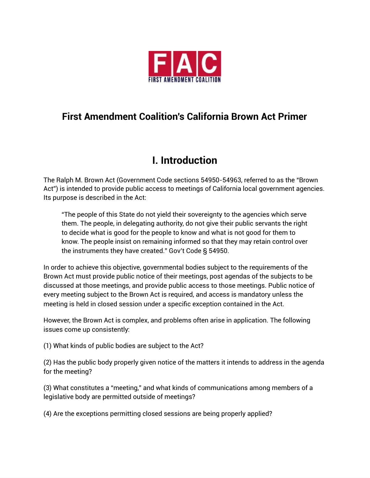

### **First Amendment Coalition's California Brown Act Primer**

# **I. Introduction**

The Ralph M. Brown Act (Government Code sections 54950-54963, referred to as the "Brown Act") is intended to provide public access to meetings of California local government agencies. Its purpose is described in the Act:

"The people of this State do not yield their sovereignty to the agencies which serve them. The people, in delegating authority, do not give their public servants the right to decide what is good for the people to know and what is not good for them to know. The people insist on remaining informed so that they may retain control over the instruments they have created." Gov't Code § 54950.

In order to achieve this objective, governmental bodies subject to the requirements of the Brown Act must provide public notice of their meetings, post agendas of the subjects to be discussed at those meetings, and provide public access to those meetings. Public notice of every meeting subject to the Brown Act is required, and access is mandatory unless the meeting is held in closed session under a specific exception contained in the Act.

However, the Brown Act is complex, and problems often arise in application. The following issues come up consistently:

(1) What kinds of public bodies are subject to the Act?

(2) Has the public body properly given notice of the matters it intends to address in the agenda for the meeting?

(3) What constitutes a "meeting," and what kinds of communications among members of a legislative body are permitted outside of meetings?

(4) Are the exceptions permitting closed sessions are being properly applied?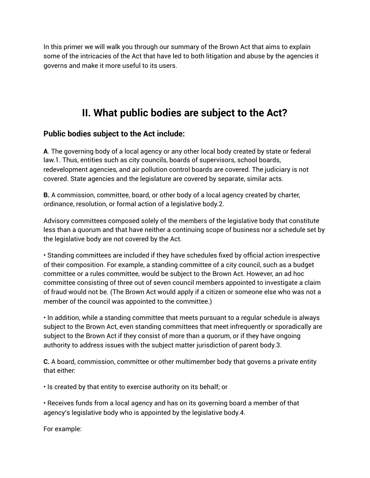In this primer we will walk you through our summary of the Brown Act that aims to explain some of the intricacies of the Act that have led to both litigation and abuse by the agencies it governs and make it more useful to its users.

# **II. What public bodies are subject to the Act?**

### **Public bodies subject to the Act include:**

**A**. The governing body of a local agency or any other local body created by state or federal law.1. Thus, entities such as city councils, boards of supervisors, school boards, redevelopment agencies, and air pollution control boards are covered. The judiciary is not covered. State agencies and the legislature are covered by separate, similar acts.

**B.** A commission, committee, board, or other body of a local agency created by charter, ordinance, resolution, or formal action of a legislative body.2.

Advisory committees composed solely of the members of the legislative body that constitute less than a quorum and that have neither a continuing scope of business nor a schedule set by the legislative body are not covered by the Act.

• Standing committees are included if they have schedules fixed by official action irrespective of their composition. For example, a standing committee of a city council, such as a budget committee or a rules committee, would be subject to the Brown Act. However, an ad hoc committee consisting of three out of seven council members appointed to investigate a claim of fraud would not be. (The Brown Act would apply if a citizen or someone else who was not a member of the council was appointed to the committee.)

• In addition, while a standing committee that meets pursuant to a regular schedule is always subject to the Brown Act, even standing committees that meet infrequently or sporadically are subject to the Brown Act if they consist of more than a quorum, or if they have ongoing authority to address issues with the subject matter jurisdiction of parent body.3.

**C.** A board, commission, committee or other multimember body that governs a private entity that either:

• Is created by that entity to exercise authority on its behalf; or

• Receives funds from a local agency and has on its governing board a member of that agency's legislative body who is appointed by the legislative body.4.

For example: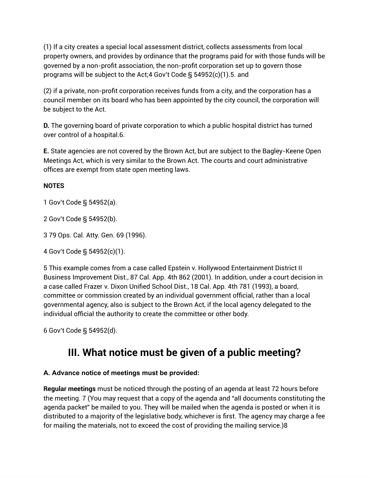(1) If a city creates a special local assessment district, collects assessments from local property owners, and provides by ordinance that the programs paid for with those funds will be governed by a non-profit association, the non-profit corporation set up to govern those programs will be subject to the Act;4 Gov't Code § 54952(c)(1).5. and

(2) if a private, non-profit corporation receives funds from a city, and the corporation has a council member on its board who has been appointed by the city council, the corporation will be subject to the Act.

**D.** The governing board of private corporation to which a public hospital district has turned over control of a hospital.6.

**E.** State agencies are not covered by the Brown Act, but are subject to the Bagley-Keene Open Meetings Act, which is very similar to the Brown Act. The courts and court administrative offices are exempt from state open meeting laws.

### **NOTES**

1 Gov't Code § 54952(a).

2 Gov't Code § 54952(b).

3 79 Ops. Cal. Atty. Gen. 69 (1996).

4 Gov't Code § 54952(c)(1).

5 This example comes from a case called Epstein v. Hollywood Entertainment District II Business Improvement Dist., 87 Cal. App. 4th 862 (2001). In addition, under a court decision in a case called Frazer v. Dixon Unified School Dist., 18 Cal. App. 4th 781 (1993), a board, committee or commission created by an individual government official, rather than a local governmental agency, also is subject to the Brown Act, if the local agency delegated to the individual official the authority to create the committee or other body.

6 Gov't Code § 54952(d).

# **III. What notice must be given of a public meeting?**

### **A. Advance notice of meetings must be provided:**

**Regular meetings** must be noticed through the posting of an agenda at least 72 hours before the meeting. 7 (You may request that a copy of the agenda and "all documents constituting the agenda packet" be mailed to you. They will be mailed when the agenda is posted or when it is distributed to a majority of the legislative body, whichever is first. The agency may charge a fee for mailing the materials, not to exceed the cost of providing the mailing service.)8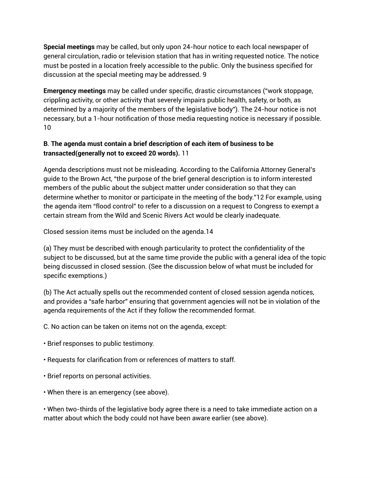**Special meetings** may be called, but only upon 24-hour notice to each local newspaper of general circulation, radio or television station that has in writing requested notice. The notice must be posted in a location freely accessible to the public. Only the business specified for discussion at the special meeting may be addressed. 9

**Emergency meetings** may be called under specific, drastic circumstances ("work stoppage, crippling activity, or other activity that severely impairs public health, safety, or both, as determined by a majority of the members of the legislative body"). The 24-hour notice is not necessary, but a 1-hour notification of those media requesting notice is necessary if possible. 10

### **B**. **The agenda must contain a brief description of each item of business to be transacted(generally not to exceed 20 words).** 11

Agenda descriptions must not be misleading. According to the California Attorney General's guide to the Brown Act, "the purpose of the brief general description is to inform interested members of the public about the subject matter under consideration so that they can determine whether to monitor or participate in the meeting of the body."12 For example, using the agenda item "flood control" to refer to a discussion on a request to Congress to exempt a certain stream from the Wild and Scenic Rivers Act would be clearly inadequate.

Closed session items must be included on the agenda.14

(a) They must be described with enough particularity to protect the confidentiality of the subject to be discussed, but at the same time provide the public with a general idea of the topic being discussed in closed session. (See the discussion below of what must be included for specific exemptions.)

(b) The Act actually spells out the recommended content of closed session agenda notices, and provides a "safe harbor" ensuring that government agencies will not be in violation of the agenda requirements of the Act if they follow the recommended format.

C. No action can be taken on items not on the agenda, except:

- Brief responses to public testimony.
- Requests for clarification from or references of matters to staff.
- Brief reports on personal activities.
- When there is an emergency (see above).

• When two-thirds of the legislative body agree there is a need to take immediate action on a matter about which the body could not have been aware earlier (see above).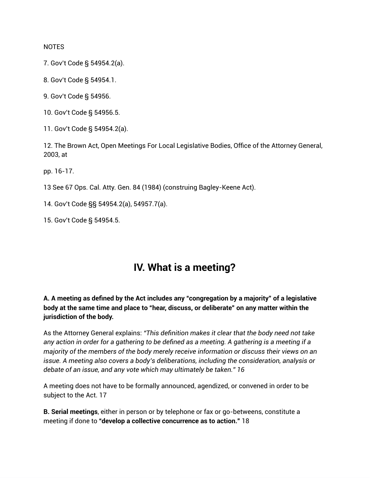**NOTES** 

7. Gov't Code § 54954.2(a).

8. Gov't Code § 54954.1.

9. Gov't Code § 54956.

10. Gov't Code § 54956.5.

11. Gov't Code § 54954.2(a).

12. The Brown Act, Open Meetings For Local Legislative Bodies, Office of the Attorney General, 2003, at

pp. 16-17.

13 See 67 Ops. Cal. Atty. Gen. 84 (1984) (construing Bagley-Keene Act).

14. Gov't Code §§ 54954.2(a), 54957.7(a).

15. Gov't Code § 54954.5.

### **IV. What is a meeting?**

**A. A meeting as defined by the Act includes any "congregation by a majority" of a legislative body at the same time and place to "hear, discuss, or deliberate" on any matter within the jurisdiction of the body.**

As the Attorney General explains: *"This definition makes it clear that the body need not take* any action in order for a gathering to be defined as a meeting. A gathering is a meeting if a *majority of the members of the body merely receive information or discuss their views on an issue. A meeting also covers a body's deliberations, including the consideration, analysis or debate of an issue, and any vote which may ultimately be taken." 16*

A meeting does not have to be formally announced, agendized, or convened in order to be subject to the Act. 17

**B. Serial meetings**, either in person or by telephone or fax or go-betweens, constitute a meeting if done to **"develop a collective concurrence as to action."** 18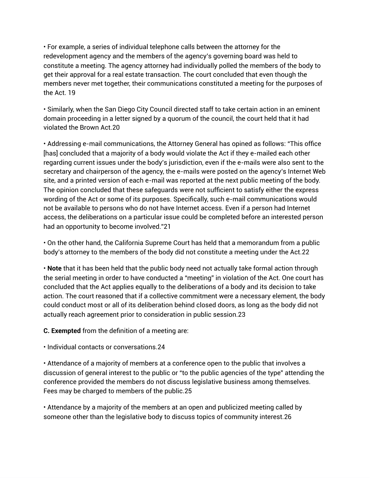• For example, a series of individual telephone calls between the attorney for the redevelopment agency and the members of the agency's governing board was held to constitute a meeting. The agency attorney had individually polled the members of the body to get their approval for a real estate transaction. The court concluded that even though the members never met together, their communications constituted a meeting for the purposes of the Act. 19

• Similarly, when the San Diego City Council directed staff to take certain action in an eminent domain proceeding in a letter signed by a quorum of the council, the court held that it had violated the Brown Act.20

• Addressing e-mail communications, the Attorney General has opined as follows: "This office [has] concluded that a majority of a body would violate the Act if they e-mailed each other regarding current issues under the body's jurisdiction, even if the e-mails were also sent to the secretary and chairperson of the agency, the e-mails were posted on the agency's Internet Web site, and a printed version of each e-mail was reported at the next public meeting of the body. The opinion concluded that these safeguards were not sufficient to satisfy either the express wording of the Act or some of its purposes. Specifically, such e-mail communications would not be available to persons who do not have Internet access. Even if a person had Internet access, the deliberations on a particular issue could be completed before an interested person had an opportunity to become involved."21

• On the other hand, the California Supreme Court has held that a memorandum from a public body's attorney to the members of the body did not constitute a meeting under the Act.22

• **Note** that it has been held that the public body need not actually take formal action through the serial meeting in order to have conducted a "meeting" in violation of the Act. One court has concluded that the Act applies equally to the deliberations of a body and its decision to take action. The court reasoned that if a collective commitment were a necessary element, the body could conduct most or all of its deliberation behind closed doors, as long as the body did not actually reach agreement prior to consideration in public session.23

**C. Exempted** from the definition of a meeting are:

• Individual contacts or conversations.24

• Attendance of a majority of members at a conference open to the public that involves a discussion of general interest to the public or "to the public agencies of the type" attending the conference provided the members do not discuss legislative business among themselves. Fees may be charged to members of the public.25

• Attendance by a majority of the members at an open and publicized meeting called by someone other than the legislative body to discuss topics of community interest.26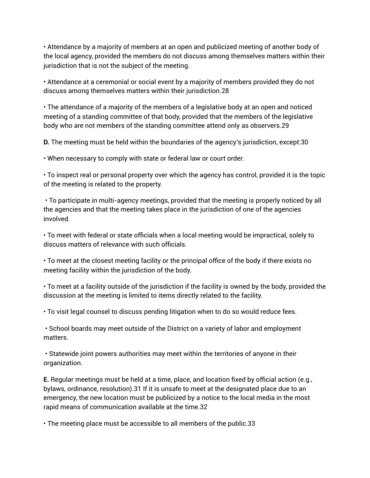• Attendance by a majority of members at an open and publicized meeting of another body of the local agency, provided the members do not discuss among themselves matters within their jurisdiction that is not the subject of the meeting.

• Attendance at a ceremonial or social event by a majority of members provided they do not discuss among themselves matters within their jurisdiction.28

• The attendance of a majority of the members of a legislative body at an open and noticed meeting of a standing committee of that body, provided that the members of the legislative body who are not members of the standing committee attend only as observers.29

**D.** The meeting must be held within the boundaries of the agency's jurisdiction, except:30

• When necessary to comply with state or federal law or court order.

• To inspect real or personal property over which the agency has control, provided it is the topic of the meeting is related to the property.

• To participate in multi-agency meetings, provided that the meeting is properly noticed by all the agencies and that the meeting takes place in the jurisdiction of one of the agencies involved.

• To meet with federal or state officials when a local meeting would be impractical, solely to discuss matters of relevance with such officials.

• To meet at the closest meeting facility or the principal office of the body if there exists no meeting facility within the jurisdiction of the body.

• To meet at a facility outside of the jurisdiction if the facility is owned by the body, provided the discussion at the meeting is limited to items directly related to the facility.

• To visit legal counsel to discuss pending litigation when to do so would reduce fees.

• School boards may meet outside of the District on a variety of labor and employment matters.

• Statewide joint powers authorities may meet within the territories of anyone in their organization.

**E.** Regular meetings must be held at a time, place, and location fixed by official action (e.g., bylaws, ordinance, resolution).31 If it is unsafe to meet at the designated place due to an emergency, the new location must be publicized by a notice to the local media in the most rapid means of communication available at the time.32

• The meeting place must be accessible to all members of the public.33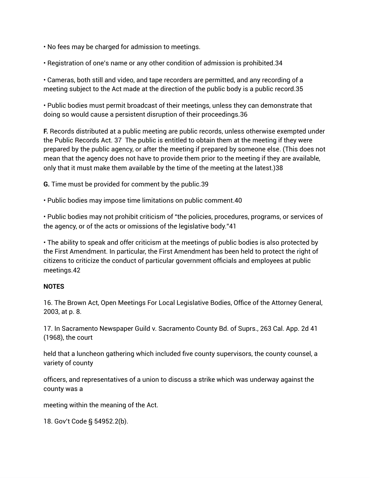- No fees may be charged for admission to meetings.
- Registration of one's name or any other condition of admission is prohibited.34

• Cameras, both still and video, and tape recorders are permitted, and any recording of a meeting subject to the Act made at the direction of the public body is a public record.35

• Public bodies must permit broadcast of their meetings, unless they can demonstrate that doing so would cause a persistent disruption of their proceedings.36

**F.** Records distributed at a public meeting are public records, unless otherwise exempted under the Public Records Act. 37 The public is entitled to obtain them at the meeting if they were prepared by the public agency, or after the meeting if prepared by someone else. (This does not mean that the agency does not have to provide them prior to the meeting if they are available, only that it must make them available by the time of the meeting at the latest.)38

**G.** Time must be provided for comment by the public.39

• Public bodies may impose time limitations on public comment.40

• Public bodies may not prohibit criticism of "the policies, procedures, programs, or services of the agency, or of the acts or omissions of the legislative body."41

• The ability to speak and offer criticism at the meetings of public bodies is also protected by the First Amendment. In particular, the First Amendment has been held to protect the right of citizens to criticize the conduct of particular government officials and employees at public meetings.42

#### **NOTES**

16. The Brown Act, Open Meetings For Local Legislative Bodies, Office of the Attorney General, 2003, at p. 8.

17. In Sacramento Newspaper Guild v. Sacramento County Bd. of Suprs., 263 Cal. App. 2d 41 (1968), the court

held that a luncheon gathering which included five county supervisors, the county counsel, a variety of county

officers, and representatives of a union to discuss a strike which was underway against the county was a

meeting within the meaning of the Act.

18. Gov't Code § 54952.2(b).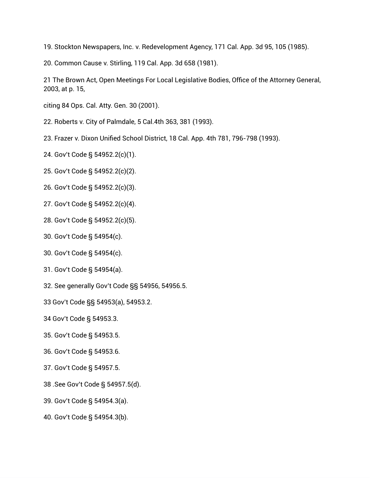19. Stockton Newspapers, Inc. v. Redevelopment Agency, 171 Cal. App. 3d 95, 105 (1985).

20. Common Cause v. Stirling, 119 Cal. App. 3d 658 (1981).

21 The Brown Act, Open Meetings For Local Legislative Bodies, Office of the Attorney General, 2003, at p. 15,

citing 84 Ops. Cal. Atty. Gen. 30 (2001).

- 22. Roberts v. City of Palmdale, 5 Cal.4th 363, 381 (1993).
- 23. Frazer v. Dixon Unified School District, 18 Cal. App. 4th 781, 796-798 (1993).
- 24. Gov't Code § 54952.2(c)(1).
- 25. Gov't Code § 54952.2(c)(2).
- 26. Gov't Code § 54952.2(c)(3).
- 27. Gov't Code § 54952.2(c)(4).
- 28. Gov't Code § 54952.2(c)(5).
- 30. Gov't Code § 54954(c).
- 30. Gov't Code § 54954(c).
- 31. Gov't Code § 54954(a).
- 32. See generally Gov't Code §§ 54956, 54956.5.
- 33 Gov't Code §§ 54953(a), 54953.2.
- 34 Gov't Code § 54953.3.
- 35. Gov't Code § 54953.5.
- 36. Gov't Code § 54953.6.
- 37. Gov't Code § 54957.5.
- 38 .See Gov't Code § 54957.5(d).
- 39. Gov't Code § 54954.3(a).
- 40. Gov't Code § 54954.3(b).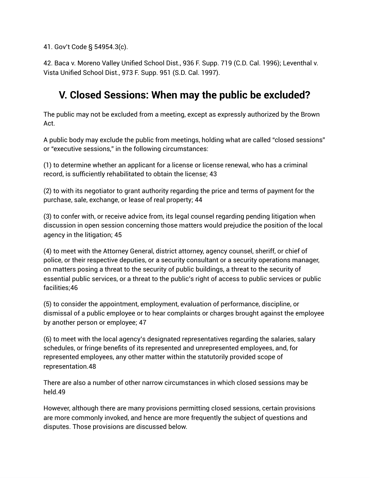41. Gov't Code § 54954.3(c).

42. Baca v. Moreno Valley Unified School Dist., 936 F. Supp. 719 (C.D. Cal. 1996); Leventhal v. Vista Unified School Dist., 973 F. Supp. 951 (S.D. Cal. 1997).

# **V. Closed Sessions: When may the public be excluded?**

The public may not be excluded from a meeting, except as expressly authorized by the Brown Act.

A public body may exclude the public from meetings, holding what are called "closed sessions" or "executive sessions," in the following circumstances:

(1) to determine whether an applicant for a license or license renewal, who has a criminal record, is sufficiently rehabilitated to obtain the license; 43

(2) to with its negotiator to grant authority regarding the price and terms of payment for the purchase, sale, exchange, or lease of real property; 44

(3) to confer with, or receive advice from, its legal counsel regarding pending litigation when discussion in open session concerning those matters would prejudice the position of the local agency in the litigation; 45

(4) to meet with the Attorney General, district attorney, agency counsel, sheriff, or chief of police, or their respective deputies, or a security consultant or a security operations manager, on matters posing a threat to the security of public buildings, a threat to the security of essential public services, or a threat to the public's right of access to public services or public facilities;46

(5) to consider the appointment, employment, evaluation of performance, discipline, or dismissal of a public employee or to hear complaints or charges brought against the employee by another person or employee; 47

(6) to meet with the local agency's designated representatives regarding the salaries, salary schedules, or fringe benefits of its represented and unrepresented employees, and, for represented employees, any other matter within the statutorily provided scope of representation.48

There are also a number of other narrow circumstances in which closed sessions may be held.49

However, although there are many provisions permitting closed sessions, certain provisions are more commonly invoked, and hence are more frequently the subject of questions and disputes. Those provisions are discussed below.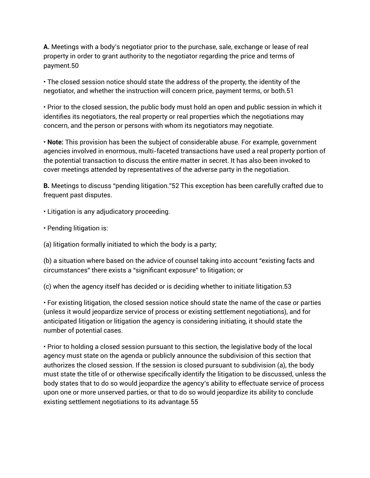**A.** Meetings with a body's negotiator prior to the purchase, sale, exchange or lease of real property in order to grant authority to the negotiator regarding the price and terms of payment.50

• The closed session notice should state the address of the property, the identity of the negotiator, and whether the instruction will concern price, payment terms, or both.51

• Prior to the closed session, the public body must hold an open and public session in which it identifies its negotiators, the real property or real properties which the negotiations may concern, and the person or persons with whom its negotiators may negotiate.

• **Note:** This provision has been the subject of considerable abuse. For example, government agencies involved in enormous, multi-faceted transactions have used a real property portion of the potential transaction to discuss the entire matter in secret. It has also been invoked to cover meetings attended by representatives of the adverse party in the negotiation.

**B.** Meetings to discuss "pending litigation."52 This exception has been carefully crafted due to frequent past disputes.

- Litigation is any adjudicatory proceeding.
- Pending litigation is:
- (a) litigation formally initiated to which the body is a party;

(b) a situation where based on the advice of counsel taking into account "existing facts and circumstances" there exists a "significant exposure" to litigation; or

(c) when the agency itself has decided or is deciding whether to initiate litigation.53

• For existing litigation, the closed session notice should state the name of the case or parties (unless it would jeopardize service of process or existing settlement negotiations), and for anticipated litigation or litigation the agency is considering initiating, it should state the number of potential cases.

• Prior to holding a closed session pursuant to this section, the legislative body of the local agency must state on the agenda or publicly announce the subdivision of this section that authorizes the closed session. If the session is closed pursuant to subdivision (a), the body must state the title of or otherwise specifically identify the litigation to be discussed, unless the body states that to do so would jeopardize the agency's ability to effectuate service of process upon one or more unserved parties, or that to do so would jeopardize its ability to conclude existing settlement negotiations to its advantage.55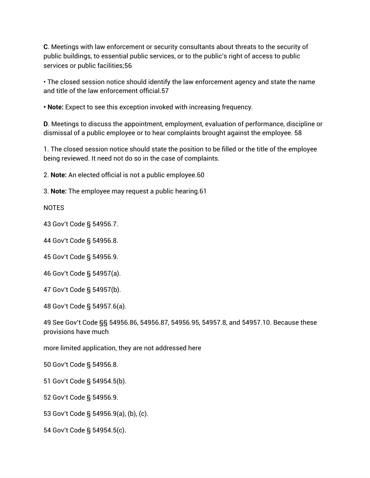**C**. Meetings with law enforcement or security consultants about threats to the security of public buildings, to essential public services, or to the public's right of access to public services or public facilities;56

• The closed session notice should identify the law enforcement agency and state the name and title of the law enforcement official.57

**• Note:** Expect to see this exception invoked with increasing frequency.

**D**. Meetings to discuss the appointment, employment, evaluation of performance, discipline or dismissal of a public employee or to hear complaints brought against the employee. 58

1. The closed session notice should state the position to be filled or the title of the employee being reviewed. It need not do so in the case of complaints.

2. **Note:** An elected official is not a public employee.60

3. **Note:** The employee may request a public hearing.61

NOTES

43 Gov't Code § 54956.7.

44 Gov't Code § 54956.8.

45 Gov't Code § 54956.9.

46 Gov't Code § 54957(a).

47 Gov't Code § 54957(b).

48 Gov't Code § 54957.6(a).

49 See Gov't Code §§ 54956.86, 54956.87, 54956.95, 54957.8, and 54957.10. Because these provisions have much

more limited application, they are not addressed here

50 Gov't Code § 54956.8.

51 Gov't Code § 54954.5(b).

52 Gov't Code § 54956.9.

53 Gov't Code § 54956.9(a), (b), (c).

54 Gov't Code § 54954.5(c).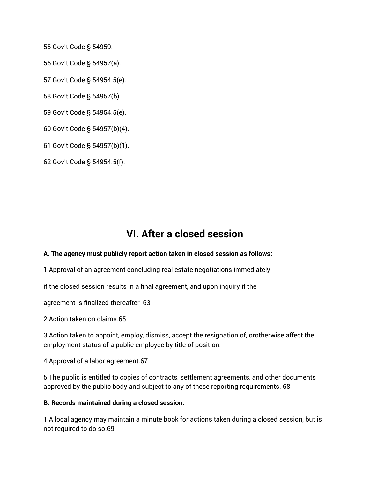Gov't Code § 54959.

Gov't Code § 54957(a).

Gov't Code § 54954.5(e).

Gov't Code § 54957(b)

Gov't Code § 54954.5(e).

Gov't Code § 54957(b)(4).

Gov't Code § 54957(b)(1).

Gov't Code § 54954.5(f).

### **VI. After a closed session**

#### **A. The agency must publicly report action taken in closed session as follows:**

Approval of an agreement concluding real estate negotiations immediately

if the closed session results in a final agreement, and upon inquiry if the

agreement is finalized thereafter 63

Action taken on claims.65

 Action taken to appoint, employ, dismiss, accept the resignation of, orotherwise affect the employment status of a public employee by title of position.

Approval of a labor agreement.67

 The public is entitled to copies of contracts, settlement agreements, and other documents approved by the public body and subject to any of these reporting requirements. 68

#### **B. Records maintained during a closed session.**

 A local agency may maintain a minute book for actions taken during a closed session, but is not required to do so.69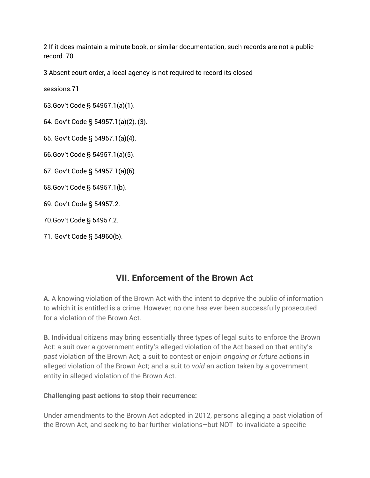2 If it does maintain a minute book, or similar documentation, such records are not a public record. 70

3 Absent court order, a local agency is not required to record its closed

sessions.71

63.Gov't Code § 54957.1(a)(1).

64. Gov't Code § 54957.1(a)(2), (3).

65. Gov't Code § 54957.1(a)(4).

66.Gov't Code § 54957.1(a)(5).

67. Gov't Code § 54957.1(a)(6).

68.Gov't Code § 54957.1(b).

69. Gov't Code § 54957.2.

70.Gov't Code § 54957.2.

### **VII. Enforcement of the Brown Act**

**A.** A knowing violation of the Brown Act with the intent to deprive the public of information to which it is entitled is a crime. However, no one has ever been successfully prosecuted for a violation of the Brown Act.

**B.** Individual citizens may bring essentially three types of legal suits to enforce the Brown Act: a suit over a government entity's alleged violation of the Act based on that entity's *past* violation of the Brown Act; a suit to contest or enjoin *ongoing or future* actions in alleged violation of the Brown Act; and a suit to *void* an action taken by a government entity in alleged violation of the Brown Act.

### **Challenging past actions to stop their recurrence:**

Under amendments to the Brown Act adopted in 2012, persons alleging a past violation of the Brown Act, and seeking to bar further violations–but NOT to invalidate a specific

<sup>71.</sup> Gov't Code § 54960(b).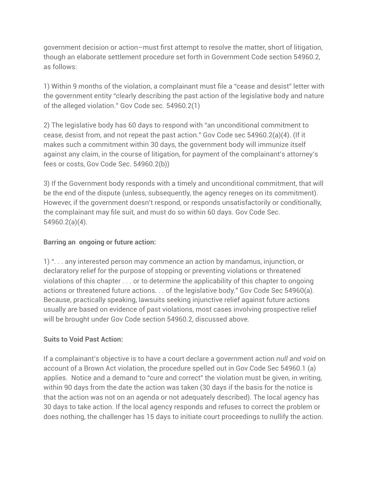government decision or action–must first attempt to resolve the matter, short of litigation, though an elaborate settlement procedure set forth in Government Code section 54960.2, as follows:

1) Within 9 months of the violation, a complainant must file a "cease and desist" letter with the government entity "clearly describing the past action of the legislative body and nature of the alleged violation." Gov Code sec. 54960.2(1)

2) The legislative body has 60 days to respond with "an unconditional commitment to cease, desist from, and not repeat the past action." Gov Code sec 54960.2(a)(4). (If it makes such a commitment within 30 days, the government body will immunize itself against any claim, in the course of litigation, for payment of the complainant's attorney's fees or costs, Gov Code Sec. 54960.2(b))

3) If the Government body responds with a timely and unconditional commitment, that will be the end of the dispute (unless, subsequently, the agency reneges on its commitment). However, if the government doesn't respond, or responds unsatisfactorily or conditionally, the complainant may file suit, and must do so within 60 days. Gov Code Sec. 54960.2(a)(4).

### **Barring an ongoing or future action:**

1) ". . . any interested person may commence an action by mandamus, injunction, or declaratory relief for the purpose of stopping or preventing violations or threatened violations of this chapter . . . or to determine the applicability of this chapter to ongoing actions or threatened future actions. . . of the legislative body." Gov Code Sec 54960(a). Because, practically speaking, lawsuits seeking injunctive relief against future actions usually are based on evidence of past violations, most cases involving prospective relief will be brought under Gov Code section 54960.2, discussed above.

### **Suits to Void Past Action:**

If a complainant's objective is to have a court declare a government action *null and void* on account of a Brown Act violation, the procedure spelled out in Gov Code Sec 54960.1 (a) applies. Notice and a demand to "cure and correct" the violation must be given, in writing, within 90 days from the date the action was taken (30 days if the basis for the notice is that the action was not on an agenda or not adequately described). The local agency has 30 days to take action. If the local agency responds and refuses to correct the problem or does nothing, the challenger has 15 days to initiate court proceedings to nullify the action.